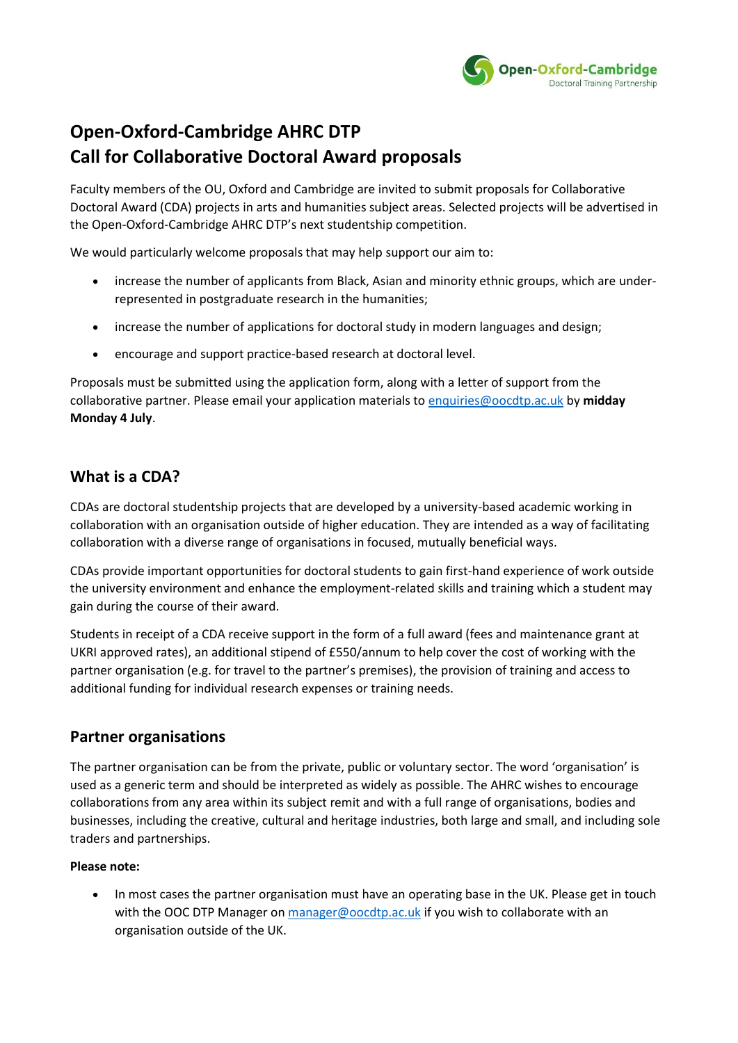

# **Open-Oxford-Cambridge AHRC DTP Call for Collaborative Doctoral Award proposals**

Faculty members of the OU, Oxford and Cambridge are invited to submit proposals for Collaborative Doctoral Award (CDA) projects in arts and humanities subject areas. Selected projects will be advertised in the Open-Oxford-Cambridge AHRC DTP's next studentship competition.

We would particularly welcome proposals that may help support our aim to:

- increase the number of applicants from Black, Asian and minority ethnic groups, which are underrepresented in postgraduate research in the humanities;
- increase the number of applications for doctoral study in modern languages and design;
- encourage and support practice-based research at doctoral level.

Proposals must be submitted using the application form, along with a letter of support from the collaborative partner. Please email your application materials t[o enquiries@oocdtp.ac.uk](mailto:enquiries@oocdtp.ac.uk) by **midday Monday 4 July**.

# **What is a CDA?**

CDAs are doctoral studentship projects that are developed by a university-based academic working in collaboration with an organisation outside of higher education. They are intended as a way of facilitating collaboration with a diverse range of organisations in focused, mutually beneficial ways.

CDAs provide important opportunities for doctoral students to gain first-hand experience of work outside the university environment and enhance the employment-related skills and training which a student may gain during the course of their award.

Students in receipt of a CDA receive support in the form of a full award (fees and maintenance grant at UKRI approved rates), an additional stipend of £550/annum to help cover the cost of working with the partner organisation (e.g. for travel to the partner's premises), the provision of training and access to additional funding for individual research expenses or training needs.

# **Partner organisations**

The partner organisation can be from the private, public or voluntary sector. The word 'organisation' is used as a generic term and should be interpreted as widely as possible. The AHRC wishes to encourage collaborations from any area within its subject remit and with a full range of organisations, bodies and businesses, including the creative, cultural and heritage industries, both large and small, and including sole traders and partnerships.

#### **Please note:**

• In most cases the partner organisation must have an operating base in the UK. Please get in touch with the OOC DTP Manager on [manager@oocdtp.ac.uk](mailto:manager@oocdtp.ac.uk) if you wish to collaborate with an organisation outside of the UK.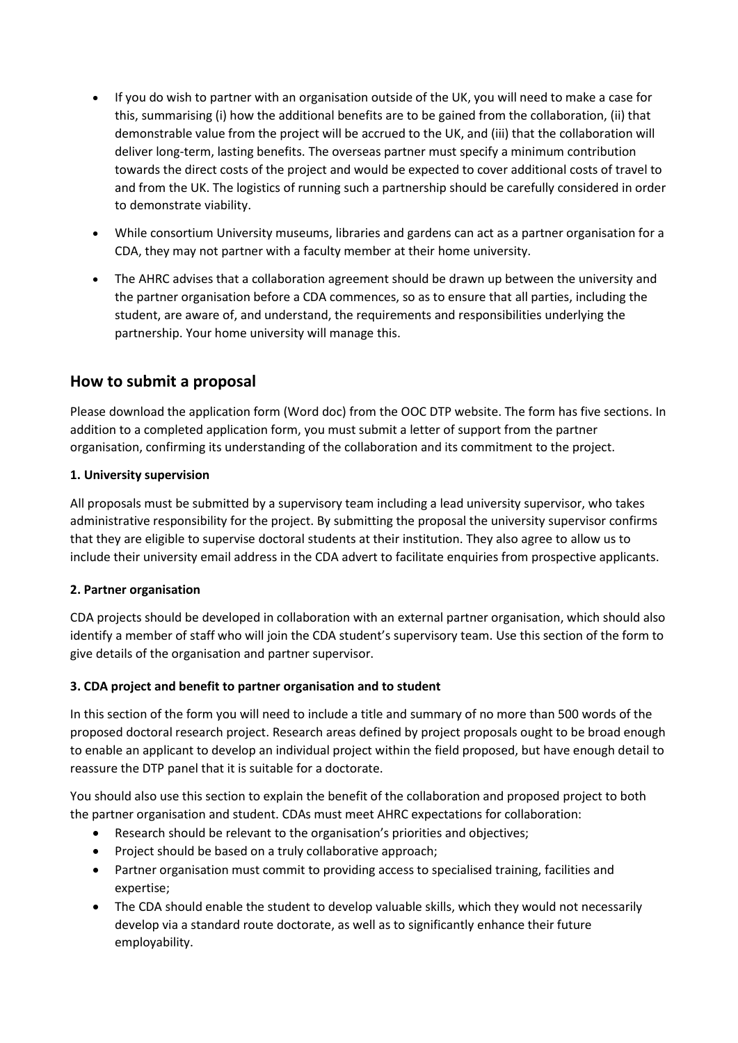- If you do wish to partner with an organisation outside of the UK, you will need to make a case for this, summarising (i) how the additional benefits are to be gained from the collaboration, (ii) that demonstrable value from the project will be accrued to the UK, and (iii) that the collaboration will deliver long-term, lasting benefits. The overseas partner must specify a minimum contribution towards the direct costs of the project and would be expected to cover additional costs of travel to and from the UK. The logistics of running such a partnership should be carefully considered in order to demonstrate viability.
- While consortium University museums, libraries and gardens can act as a partner organisation for a CDA, they may not partner with a faculty member at their home university.
- The AHRC advises that a collaboration agreement should be drawn up between the university and the partner organisation before a CDA commences, so as to ensure that all parties, including the student, are aware of, and understand, the requirements and responsibilities underlying the partnership. Your home university will manage this.

## **How to submit a proposal**

Please download the application form (Word doc) from the OOC DTP website. The form has five sections. In addition to a completed application form, you must submit a letter of support from the partner organisation, confirming its understanding of the collaboration and its commitment to the project.

#### **1. University supervision**

All proposals must be submitted by a supervisory team including a lead university supervisor, who takes administrative responsibility for the project. By submitting the proposal the university supervisor confirms that they are eligible to supervise doctoral students at their institution. They also agree to allow us to include their university email address in the CDA advert to facilitate enquiries from prospective applicants.

## **2. Partner organisation**

CDA projects should be developed in collaboration with an external partner organisation, which should also identify a member of staff who will join the CDA student's supervisory team. Use this section of the form to give details of the organisation and partner supervisor.

## **3. CDA project and benefit to partner organisation and to student**

In this section of the form you will need to include a title and summary of no more than 500 words of the proposed doctoral research project. Research areas defined by project proposals ought to be broad enough to enable an applicant to develop an individual project within the field proposed, but have enough detail to reassure the DTP panel that it is suitable for a doctorate.

You should also use this section to explain the benefit of the collaboration and proposed project to both the partner organisation and student. CDAs must meet AHRC expectations for collaboration:

- Research should be relevant to the organisation's priorities and objectives;
- Project should be based on a truly collaborative approach;
- Partner organisation must commit to providing access to specialised training, facilities and expertise;
- The CDA should enable the student to develop valuable skills, which they would not necessarily develop via a standard route doctorate, as well as to significantly enhance their future employability.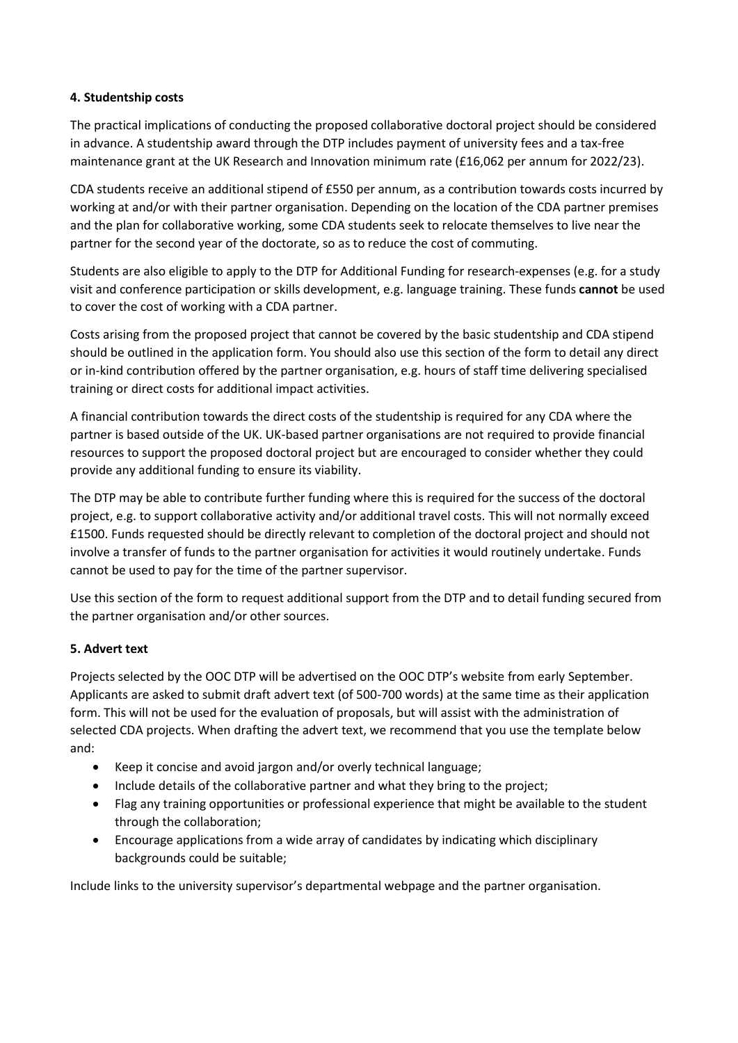#### **4. Studentship costs**

The practical implications of conducting the proposed collaborative doctoral project should be considered in advance. A studentship award through the DTP includes payment of university fees and a tax-free maintenance grant at the UK Research and Innovation minimum rate (£16,062 per annum for 2022/23).

CDA students receive an additional stipend of £550 per annum, as a contribution towards costs incurred by working at and/or with their partner organisation. Depending on the location of the CDA partner premises and the plan for collaborative working, some CDA students seek to relocate themselves to live near the partner for the second year of the doctorate, so as to reduce the cost of commuting.

Students are also eligible to apply to the DTP for Additional Funding for research-expenses (e.g. for a study visit and conference participation or skills development, e.g. language training. These funds **cannot** be used to cover the cost of working with a CDA partner.

Costs arising from the proposed project that cannot be covered by the basic studentship and CDA stipend should be outlined in the application form. You should also use this section of the form to detail any direct or in-kind contribution offered by the partner organisation, e.g. hours of staff time delivering specialised training or direct costs for additional impact activities.

A financial contribution towards the direct costs of the studentship is required for any CDA where the partner is based outside of the UK. UK-based partner organisations are not required to provide financial resources to support the proposed doctoral project but are encouraged to consider whether they could provide any additional funding to ensure its viability.

The DTP may be able to contribute further funding where this is required for the success of the doctoral project, e.g. to support collaborative activity and/or additional travel costs. This will not normally exceed £1500. Funds requested should be directly relevant to completion of the doctoral project and should not involve a transfer of funds to the partner organisation for activities it would routinely undertake. Funds cannot be used to pay for the time of the partner supervisor.

Use this section of the form to request additional support from the DTP and to detail funding secured from the partner organisation and/or other sources.

## **5. Advert text**

Projects selected by the OOC DTP will be advertised on the OOC DTP's website from early September. Applicants are asked to submit draft advert text (of 500-700 words) at the same time as their application form. This will not be used for the evaluation of proposals, but will assist with the administration of selected CDA projects. When drafting the advert text, we recommend that you use the template below and:

- Keep it concise and avoid jargon and/or overly technical language;
- Include details of the collaborative partner and what they bring to the project;
- Flag any training opportunities or professional experience that might be available to the student through the collaboration;
- Encourage applications from a wide array of candidates by indicating which disciplinary backgrounds could be suitable;

Include links to the university supervisor's departmental webpage and the partner organisation.